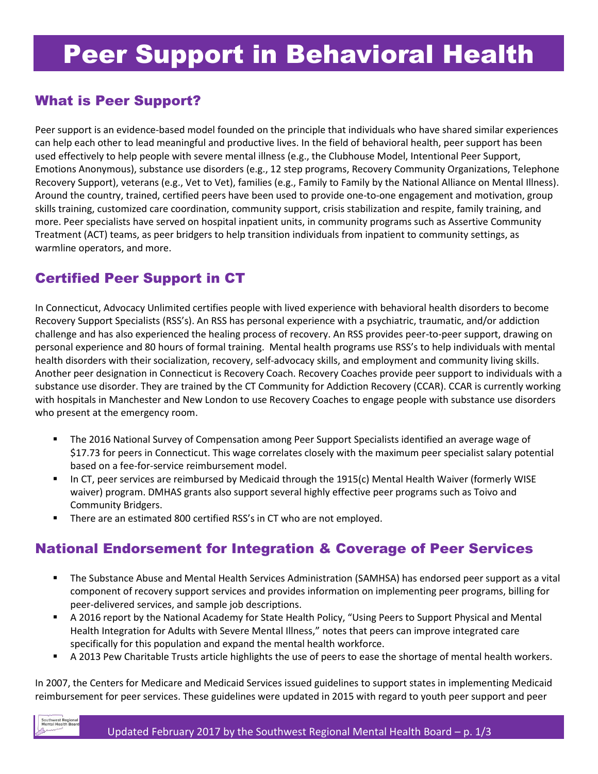### What is Peer Support?

Peer support is an evidence-based model founded on the principle that individuals who have shared similar experiences can help each other to lead meaningful and productive lives. In the field of behavioral health, peer support has been used effectively to help people with severe mental illness (e.g., the Clubhouse Model, Intentional Peer Support, Emotions Anonymous), substance use disorders (e.g., 12 step programs, Recovery Community Organizations, Telephone Recovery Support), veterans (e.g., Vet to Vet), families (e.g., Family to Family by the National Alliance on Mental Illness). Around the country, trained, certified peers have been used to provide one-to-one engagement and motivation, group skills training, customized care coordination, community support, crisis stabilization and respite, family training, and more. Peer specialists have served on hospital inpatient units, in community programs such as Assertive Community Treatment (ACT) teams, as peer bridgers to help transition individuals from inpatient to community settings, as warmline operators, and more.

## Certified Peer Support in CT

In Connecticut, Advocacy Unlimited certifies people with lived experience with behavioral health disorders to become Recovery Support Specialists (RSS's). An RSS has personal experience with a psychiatric, traumatic, and/or addiction challenge and has also experienced the healing process of recovery. An RSS provides peer-to-peer support, drawing on personal experience and 80 hours of formal training. Mental health programs use RSS's to help individuals with mental health disorders with their socialization, recovery, self-advocacy skills, and employment and community living skills. Another peer designation in Connecticut is Recovery Coach. Recovery Coaches provide peer support to individuals with a substance use disorder. They are trained by the CT Community for Addiction Recovery (CCAR). CCAR is currently working with hospitals in Manchester and New London to use Recovery Coaches to engage people with substance use disorders who present at the emergency room.

- The 2016 National Survey of Compensation among Peer Support Specialists identified an average wage of \$17.73 for peers in Connecticut. This wage correlates closely with the maximum peer specialist salary potential based on a fee-for-service reimbursement model.
- In CT, peer services are reimbursed by Medicaid through the 1915(c) Mental Health Waiver (formerly WISE waiver) program. DMHAS grants also support several highly effective peer programs such as Toivo and Community Bridgers.
- **There are an estimated 800 certified RSS's in CT who are not employed.**

# National Endorsement for Integration & Coverage of Peer Services

- The Substance Abuse and Mental Health Services Administration (SAMHSA) has endorsed peer support as a vital component of recovery support services and provides information on implementing peer programs, billing for peer-delivered services, and sample job descriptions.
- A 2016 report by the National Academy for State Health Policy, "Using Peers to Support Physical and Mental Health Integration for Adults with Severe Mental Illness," notes that peers can improve integrated care specifically for this population and expand the mental health workforce.
- A 2013 Pew Charitable Trusts article highlights the use of peers to ease the shortage of mental health workers.

In 2007, the Centers for Medicare and Medicaid Services issued guidelines to support states in implementing Medicaid reimbursement for peer services. These guidelines were updated in 2015 with regard to youth peer support and peer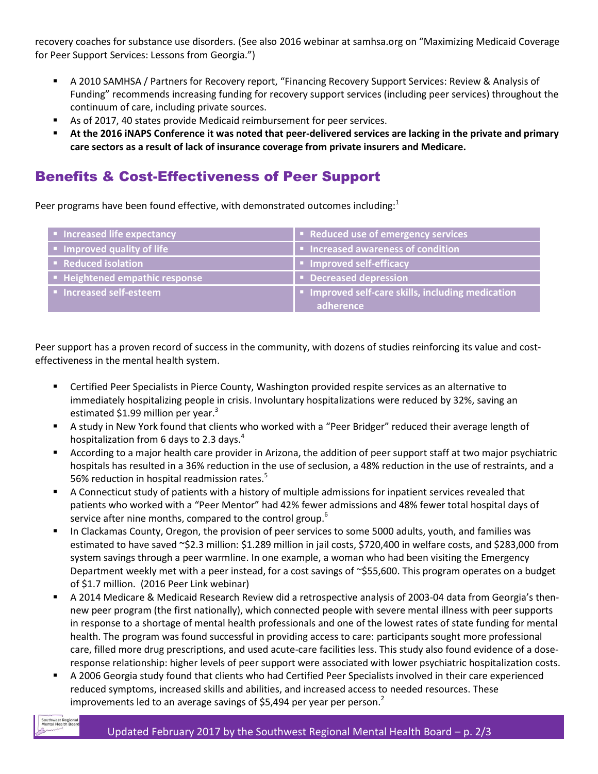recovery coaches for substance use disorders. (See also 2016 webinar at samhsa.org on "Maximizing Medicaid Coverage for Peer Support Services: Lessons from Georgia.")

- A 2010 SAMHSA / Partners for Recovery report, "Financing Recovery Support Services: Review & Analysis of Funding" recommends increasing funding for recovery support services (including peer services) throughout the continuum of care, including private sources.
- As of 2017, 40 states provide Medicaid reimbursement for peer services.
- **At the 2016 iNAPS Conference it was noted that peer-delivered services are lacking in the private and primary care sectors as a result of lack of insurance coverage from private insurers and Medicare.**

### Benefits & Cost-Effectiveness of Peer Support

Peer programs have been found effective, with demonstrated outcomes including:<sup>1</sup>

| • Increased life expectancy                 | Reduced use of emergency services                 |
|---------------------------------------------|---------------------------------------------------|
| Improved quality of life                    | Increased awareness of condition                  |
| • Reduced isolation                         | I • Improved self-efficacy                        |
| <b>EXAMPLE Heightened empathic response</b> | Decreased depression                              |
| Increased self-esteem                       | I Improved self-care skills, including medication |
|                                             | adherence                                         |

Peer support has a proven record of success in the community, with dozens of studies reinforcing its value and costeffectiveness in the mental health system.

- Certified Peer Specialists in Pierce County, Washington provided respite services as an alternative to immediately hospitalizing people in crisis. Involuntary hospitalizations were reduced by 32%, saving an estimated \$1.99 million per year. $3$
- A study in New York found that clients who worked with a "Peer Bridger" reduced their average length of hospitalization from 6 days to 2.3 days.<sup>4</sup>
- According to a major health care provider in Arizona, the addition of peer support staff at two major psychiatric hospitals has resulted in a 36% reduction in the use of seclusion, a 48% reduction in the use of restraints, and a 56% reduction in hospital readmission rates.<sup>5</sup>
- A Connecticut study of patients with a history of multiple admissions for inpatient services revealed that patients who worked with a "Peer Mentor" had 42% fewer admissions and 48% fewer total hospital days of service after nine months, compared to the control group.<sup>6</sup>
- In Clackamas County, Oregon, the provision of peer services to some 5000 adults, youth, and families was estimated to have saved ~\$2.3 million: \$1.289 million in jail costs, \$720,400 in welfare costs, and \$283,000 from system savings through a peer warmline. In one example, a woman who had been visiting the Emergency Department weekly met with a peer instead, for a cost savings of ~\$55,600. This program operates on a budget of \$1.7 million. (2016 Peer Link webinar)
- A 2014 Medicare & Medicaid Research Review did a retrospective analysis of 2003-04 data from Georgia's thennew peer program (the first nationally), which connected people with severe mental illness with peer supports in response to a shortage of mental health professionals and one of the lowest rates of state funding for mental health. The program was found successful in providing access to care: participants sought more professional care, filled more drug prescriptions, and used acute-care facilities less. This study also found evidence of a doseresponse relationship: higher levels of peer support were associated with lower psychiatric hospitalization costs.
- A 2006 Georgia study found that clients who had Certified Peer Specialists involved in their care experienced reduced symptoms, increased skills and abilities, and increased access to needed resources. These improvements led to an average savings of \$5,494 per year per person.<sup>2</sup>